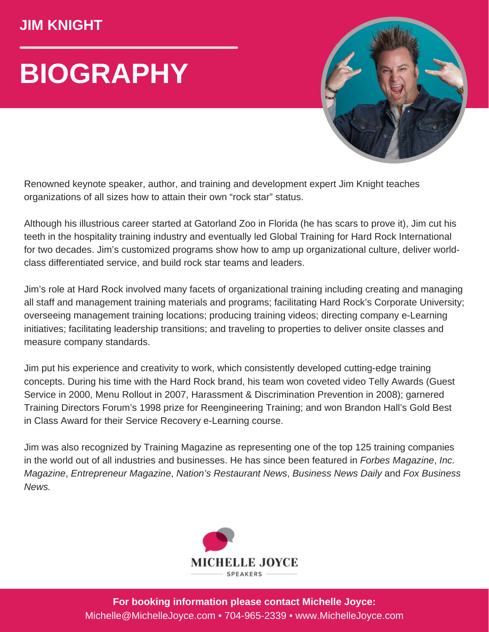## **JIM KNIGHT**

## **BIOGRAPHY**



Renowned keynote speaker, author, and training and development expert Jim Knight teaches organizations of all sizes how to attain their own "rock star" status.

Although his illustrious career started at Gatorland Zoo in Florida (he has scars to prove it), Jim cut his teeth in the hospitality training industry and eventually led Global Training for Hard Rock International for two decades. Jim's customized programs show how to amp up organizational culture, deliver worldclass differentiated service, and build rock star teams and leaders.

Jim's role at Hard Rock involved many facets of organizational training including creating and managing all staff and management training materials and programs; facilitating Hard Rock's Corporate University; overseeing management training locations; producing training videos; directing company e-Learning initiatives; facilitating leadership transitions; and traveling to properties to deliver onsite classes and measure company standards.

Jim put his experience and creativity to work, which consistently developed cutting-edge training concepts. During his time with the Hard Rock brand, his team won coveted video Telly Awards (Guest Service in 2000, Menu Rollout in 2007, Harassment & Discrimination Prevention in 2008); garnered Training Directors Forum's 1998 prize for Reengineering Training; and won Brandon Hall's Gold Best in Class Award for their Service Recovery e-Learning course.

Jim was also recognized by Training Magazine as representing one of the top 125 training companies in the world out of all industries and businesses. He has since been featured in *Forbes Magazine*, *Inc. Magazine*, *Entrepreneur Magazine*, *Nation's Restaurant News*, *Business News Daily* and *Fox Business News.*



**For booking information please contact Michelle Joyce:** Michelle@MichelleJoyce.com • 704-965-2339 • www.MichelleJoyce.com